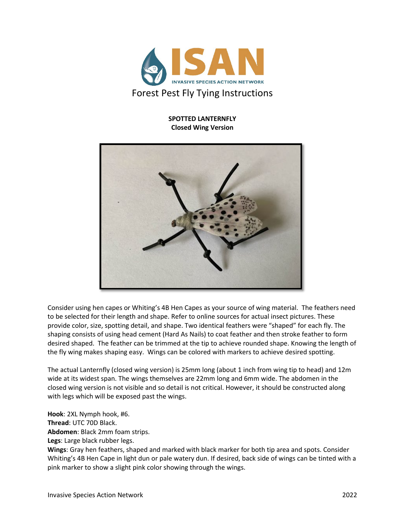

## **SPOTTED LANTERNFLY Closed Wing Version**



Consider using hen capes or Whiting's 4B Hen Capes as your source of wing material. The feathers need to be selected for their length and shape. Refer to online sources for actual insect pictures. These provide color, size, spotting detail, and shape. Two identical feathers were "shaped" for each fly. The shaping consists of using head cement (Hard As Nails) to coat feather and then stroke feather to form desired shaped. The feather can be trimmed at the tip to achieve rounded shape. Knowing the length of the fly wing makes shaping easy. Wings can be colored with markers to achieve desired spotting.

The actual Lanternfly (closed wing version) is 25mm long (about 1 inch from wing tip to head) and 12m wide at its widest span. The wings themselves are 22mm long and 6mm wide. The abdomen in the closed wing version is not visible and so detail is not critical. However, it should be constructed along with legs which will be exposed past the wings.

**Hook**: 2XL Nymph hook, #6.

**Thread**: UTC 70D Black.

**Abdomen**: Black 2mm foam strips.

**Legs**: Large black rubber legs.

**Wings**: Gray hen feathers, shaped and marked with black marker for both tip area and spots. Consider Whiting's 4B Hen Cape in light dun or pale watery dun. If desired, back side of wings can be tinted with a pink marker to show a slight pink color showing through the wings.